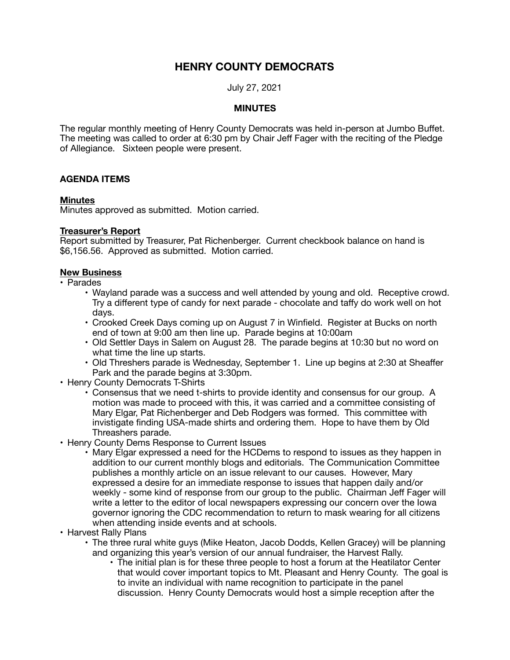# **HENRY COUNTY DEMOCRATS**

July 27, 2021

## **MINUTES**

The regular monthly meeting of Henry County Democrats was held in-person at Jumbo Buffet. The meeting was called to order at 6:30 pm by Chair Jeff Fager with the reciting of the Pledge of Allegiance. Sixteen people were present.

## **AGENDA ITEMS**

#### **Minutes**

Minutes approved as submitted. Motion carried.

## **Treasurer's Report**

Report submitted by Treasurer, Pat Richenberger. Current checkbook balance on hand is \$6,156.56. Approved as submitted. Motion carried.

#### **New Business**

- Parades
	- Wayland parade was a success and well attended by young and old. Receptive crowd. Try a different type of candy for next parade - chocolate and taffy do work well on hot days.
	- Crooked Creek Days coming up on August 7 in Winfield. Register at Bucks on north end of town at 9:00 am then line up. Parade begins at 10:00am
	- Old Settler Days in Salem on August 28. The parade begins at 10:30 but no word on what time the line up starts.
	- Old Threshers parade is Wednesday, September 1. Line up begins at 2:30 at Sheaffer Park and the parade begins at 3:30pm.
- Henry County Democrats T-Shirts
	- Consensus that we need t-shirts to provide identity and consensus for our group. A motion was made to proceed with this, it was carried and a committee consisting of Mary Elgar, Pat Richenberger and Deb Rodgers was formed. This committee with invistigate finding USA-made shirts and ordering them. Hope to have them by Old Threashers parade.
- Henry County Dems Response to Current Issues
	- Mary Elgar expressed a need for the HCDems to respond to issues as they happen in addition to our current monthly blogs and editorials. The Communication Committee publishes a monthly article on an issue relevant to our causes. However, Mary expressed a desire for an immediate response to issues that happen daily and/or weekly - some kind of response from our group to the public. Chairman Jeff Fager will write a letter to the editor of local newspapers expressing our concern over the Iowa governor ignoring the CDC recommendation to return to mask wearing for all citizens when attending inside events and at schools.
- Harvest Rally Plans
	- The three rural white guys (Mike Heaton, Jacob Dodds, Kellen Gracey) will be planning and organizing this year's version of our annual fundraiser, the Harvest Rally.
		- The initial plan is for these three people to host a forum at the Heatilator Center that would cover important topics to Mt. Pleasant and Henry County. The goal is to invite an individual with name recognition to participate in the panel discussion. Henry County Democrats would host a simple reception after the